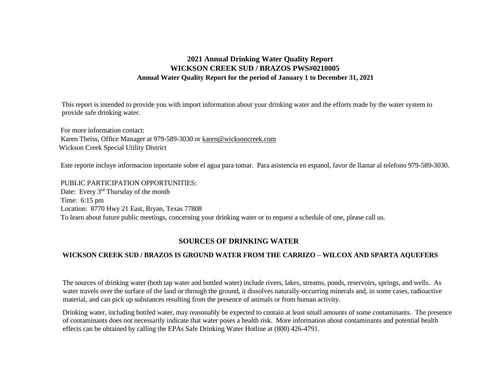# **2021 Annual Drinking Water Quality Report WICKSON CREEK SUD / BRAZOS PWS#0210005 Annual Water Quality Report for the period of January 1 to December 31, 2021**

This report is intended to provide you with import information about your drinking water and the efforts made by the water system to provide safe drinking water.

 For more information contact: Karen Theiss, Office Manager at 979-589-3030 or karen@wicksoncreek.com Wickson Creek Special Utility District

Este reporte incluye informacion inportante sobre el agua para tomar. Para asistencia en espanol, favor de llamar al telefono 979-589-3030.

 PUBLIC PARTICIPATION OPPORTUNITIES: Date: Every 3<sup>rd</sup> Thursday of the month Time: 6:15 pm Location: 8770 Hwy 21 East, Bryan, Texas 77808 To learn about future public meetings, concerning your drinking water or to request a schedule of one, please call us.

### **SOURCES OF DRINKING WATER**

#### **WICKSON CREEK SUD / BRAZOS IS GROUND WATER FROM THE CARRIZO – WILCOX AND SPARTA AQUEFERS**

The sources of drinking water (both tap water and bottled water) include rivers, lakes, streams, ponds, reservoirs, springs, and wells. As water travels over the surface of the land or through the ground, it dissolves naturally-occurring minerals and, in some cases, radioactive material, and can pick up substances resulting from the presence of animals or from human activity.

Drinking water, including bottled water, may reasonably be expected to contain at least small amounts of some contaminants. The presence of contaminants does not necessarily indicate that water poses a health risk. More information about contaminants and potential health effects can be obtained by calling the EPAs Safe Drinking Water Hotline at (800) 426-4791.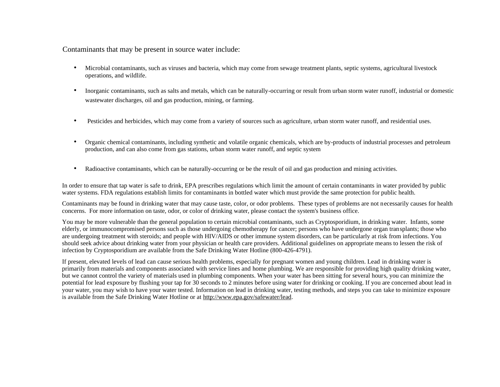Contaminants that may be present in source water include:

- Microbial contaminants, such as viruses and bacteria, which may come from sewage treatment plants, septic systems, agricultural livestock operations, and wildlife.
- Inorganic contaminants, such as salts and metals, which can be naturally-occurring or result from urban storm water runoff, industrial or domestic wastewater discharges, oil and gas production, mining, or farming.
- Pesticides and herbicides, which may come from a variety of sources such as agriculture, urban storm water runoff, and residential uses.
- Organic chemical contaminants, including synthetic and volatile organic chemicals, which are by-products of industrial processes and petroleum production, and can also come from gas stations, urban storm water runoff, and septic system
- Radioactive contaminants, which can be naturally-occurring or be the result of oil and gas production and mining activities.

In order to ensure that tap water is safe to drink, EPA prescribes regulations which limit the amount of certain contaminants in water provided by public water systems. FDA regulations establish limits for contaminants in bottled water which must provide the same protection for public health.

Contaminants may be found in drinking water that may cause taste, color, or odor problems. These types of problems are not necessarily causes for health concerns. For more information on taste, odor, or color of drinking water, please contact the system's business office.

You may be more vulnerable than the general population to certain microbial contaminants, such as Cryptosporidium, in drinking water. Infants, some elderly, or immunocompromised persons such as those undergoing chemotherapy for cancer; persons who have undergone organ transplants; those who are undergoing treatment with steroids; and people with HIV/AIDS or other immune system disorders, can be particularly at risk from infections. You should seek advice about drinking water from your physician or health care providers. Additional guidelines on appropriate means to lessen the risk of infection by Cryptosporidium are available from the Safe Drinking Water Hotline (800-426-4791).

If present, elevated levels of lead can cause serious health problems, especially for pregnant women and young children. Lead in drinking water is primarily from materials and components associated with service lines and home plumbing. We are responsible for providing high quality drinking water, but we cannot control the variety of materials used in plumbing components. When your water has been sitting for several hours, you can minimize the potential for lead exposure by flushing your tap for 30 seconds to 2 minutes before using water for drinking or cooking. If you are concerned about lead in your water, you may wish to have your water tested. Information on lead in drinking water, testing methods, and steps you can take to minimize exposure is available from the Safe Drinking Water Hotline or at [http://www.epa.gov/safewater/lead.](http://www.epa.gov/safewater/lead)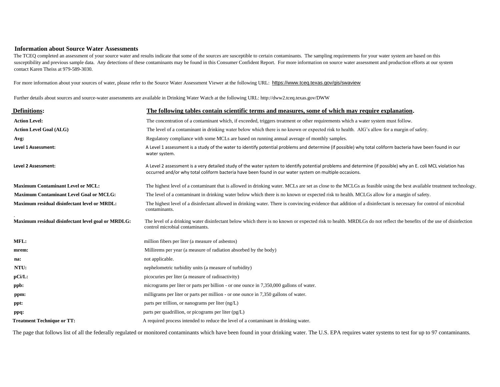#### **Information about Source Water Assessments**

The TCEQ completed an assessment of your source water and results indicate that some of the sources are susceptible to certain contaminants. The sampling requirements for your water system are based on this susceptibility and previous sample data. Any detections of these contaminants may be found in this Consumer Confident Report. For more information on source water assessment and production efforts at our system contact Karen Theiss at 979-589-3030.

For more information about your sources of water, please refer to the Source Water Assessment Viewer at the following URL: <https://www.tceq.texas.gov/gis/swaview>

Further details about sources and source-water assessments are available in Drinking Water Watch at the following URL: http://dww2.tceq.texas.gov/DWW

| <b>Definitions:</b>                                | <u>The following tables contain scientific terms and measures, some of which may require explanation.</u>                                                                                                                                                               |
|----------------------------------------------------|-------------------------------------------------------------------------------------------------------------------------------------------------------------------------------------------------------------------------------------------------------------------------|
| <b>Action Level:</b>                               | The concentration of a contaminant which, if exceeded, triggers treatment or other requirements which a water system must follow.                                                                                                                                       |
| <b>Action Level Goal (ALG)</b>                     | The level of a contaminant in drinking water below which there is no known or expected risk to health. AlG's allow for a margin of safety.                                                                                                                              |
| Avg:                                               | Regulatory compliance with some MCLs are based on running annual average of monthly samples.                                                                                                                                                                            |
| Level 1 Assessment:                                | A Level 1 assessment is a study of the water to identify potential problems and determine (if possible) why total coliform bacteria have been found in our<br>water system.                                                                                             |
| Level 2 Assessment:                                | A Level 2 assessment is a very detailed study of the water system to identify potential problems and determine (if possible) why an E. coli MCL violation has<br>occurred and/or why total coliform bacteria have been found in our water system on multiple occasions. |
| <b>Maximum Contaminant Level or MCL:</b>           | The highest level of a contaminant that is allowed in drinking water. MCLs are set as close to the MCLGs as feasible using the best available treatment technology                                                                                                      |
| <b>Maximum Contaminant Level Goal or MCLG:</b>     | The level of a contaminant in drinking water below which there is no known or expected risk to health. MCLGs allow for a margin of safety.                                                                                                                              |
| Maximum residual disinfectant level or MRDL:       | The highest level of a disinfectant allowed in drinking water. There is convincing evidence that addition of a disinfectant is necessary for control of microbial<br>contaminants.                                                                                      |
| Maximum residual disinfectant level goal or MRDLG: | The level of a drinking water disinfectant below which there is no known or expected risk to health. MRDLGs do not reflect the benefits of the use of disinfection<br>control microbial contaminants.                                                                   |
| MFL:                                               | million fibers per liter (a measure of asbestos)                                                                                                                                                                                                                        |
| mrem:                                              | Millirems per year (a measure of radiation absorbed by the body)                                                                                                                                                                                                        |
| na:                                                | not applicable.                                                                                                                                                                                                                                                         |
| NTU:                                               | nephelometric turbidity units (a measure of turbidity)                                                                                                                                                                                                                  |
| $pCi/L$ :                                          | picocuries per liter (a measure of radioactivity)                                                                                                                                                                                                                       |
| ppb:                                               | micrograms per liter or parts per billion - or one ounce in 7,350,000 gallons of water.                                                                                                                                                                                 |
| ppm:                                               | milligrams per liter or parts per million - or one ounce in 7,350 gallons of water.                                                                                                                                                                                     |
| ppt:                                               | parts per trillion, or nanograms per liter (ng/L)                                                                                                                                                                                                                       |
| ppq:                                               | parts per quadrillion, or picograms per liter $(pg/L)$                                                                                                                                                                                                                  |
| <b>Treatment Technique or TT:</b>                  | A required process intended to reduce the level of a contaminant in drinking water.                                                                                                                                                                                     |

The page that follows list of all the federally regulated or monitored contaminants which have been found in your drinking water. The U.S. EPA requires water systems to test for up to 97 contaminants.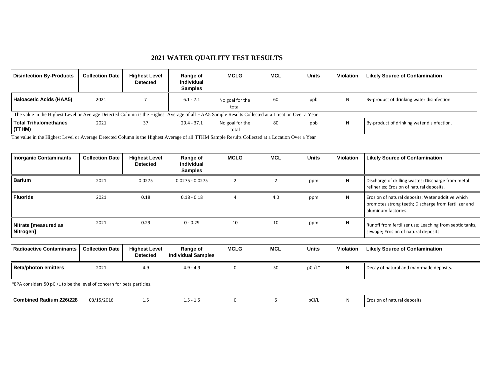### **2021 WATER QUAILITY TEST RESULTS**

| <b>Disinfection By-Products</b>                                                                                                                 | <b>Collection Date</b> | <b>Highest Level</b><br><b>Detected</b> | Range of<br><b>Individual</b><br><b>Samples</b> | <b>MCLG</b>              | <b>MCL</b> | <b>Units</b> | <b>Violation</b> | <b>Likely Source of Contamination</b>      |
|-------------------------------------------------------------------------------------------------------------------------------------------------|------------------------|-----------------------------------------|-------------------------------------------------|--------------------------|------------|--------------|------------------|--------------------------------------------|
| <b>Haloacetic Acids (HAA5)</b>                                                                                                                  | 2021                   |                                         | $6.1 - 7.1$                                     | No goal for the<br>total | 60         | ppb          | N                | By-product of drinking water disinfection. |
| The value in the Highest Level or Average Detected Column is the Highest Average of all HAA5 Sample Results Collected at a Location Over a Year |                        |                                         |                                                 |                          |            |              |                  |                                            |
| <b>Total Trihalomethanes</b><br>(TTHM)                                                                                                          | 2021                   | 37                                      | $29.4 - 37.1$                                   | No goal for the<br>total | 80         | ppb          | N                | By-product of drinking water disinfection. |

The value in the Highest Level or Average Detected Column is the Highest Average of all TTHM Sample Results Collected at a Location Over a Year

| <b>Inorganic Contaminants</b>     | <b>Collection Date</b> | <b>Highest Level</b><br><b>Detected</b> | Range of<br><b>Individual</b><br><b>Samples</b> | <b>MCLG</b> | <b>MCL</b> | <b>Units</b> | <b>Violation</b> | <b>Likely Source of Contamination</b>                                                                                            |
|-----------------------------------|------------------------|-----------------------------------------|-------------------------------------------------|-------------|------------|--------------|------------------|----------------------------------------------------------------------------------------------------------------------------------|
| <b>Barium</b>                     | 2021                   | 0.0275                                  | $0.0275 - 0.0275$                               |             |            | ppm          | N                | Discharge of drilling wastes; Discharge from metal<br>refineries; Erosion of natural deposits.                                   |
| <b>Fluoride</b>                   | 2021                   | 0.18                                    | $0.18 - 0.18$                                   |             | 4.0        | ppm          | N                | Erosion of natural deposits; Water additive which<br>promotes strong teeth; Discharge from fertilizer and<br>aluminum factories. |
| Nitrate [measured as<br>Nitrogen] | 2021                   | 0.29                                    | $0 - 0.29$                                      | 10          | 10         | ppm          | N                | Runoff from fertilizer use; Leaching from septic tanks,<br>sewage; Erosion of natural deposits.                                  |

| <b>Radioactive Contaminants</b> | <b>Collection Date</b> | <b>Highest Level</b><br><b>Detected</b> | <b>Range of</b><br><b>Individual Samples</b> | <b>MCLG</b> | MCL | <b>Units</b> | Violation | <b>Likely Source of Contamination</b>   |
|---------------------------------|------------------------|-----------------------------------------|----------------------------------------------|-------------|-----|--------------|-----------|-----------------------------------------|
| <b>Beta/photon emitters</b>     | 2021                   | 4.9                                     | 4.9 - 4.9                                    |             | 50  | pCi/L*       |           | Decay of natural and man-made deposits. |

\*EPA considers 50 pCi/L to be the level of concern for beta particles.

| <b>Radium 226/228</b><br>Combined | 03/15/2016 | ---<br>. . J |  | pCi/l | deposits.<br>rosior<br>'n of natural |
|-----------------------------------|------------|--------------|--|-------|--------------------------------------|